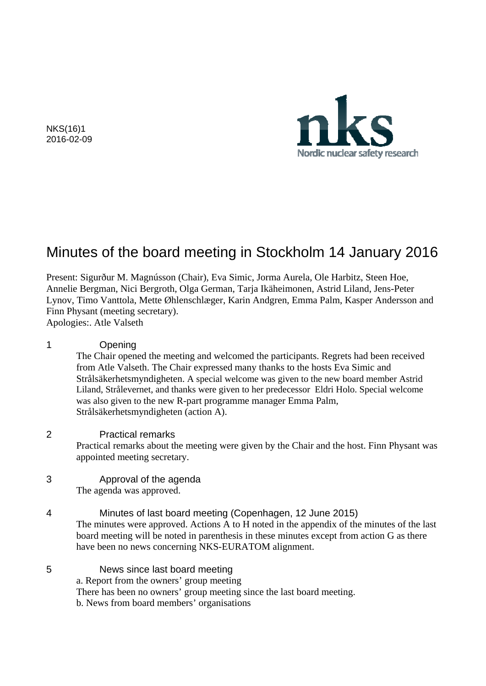

NKS(16)1 2016-02-09

# Minutes of the board meeting in Stockholm 14 January 2016

Present: Sigurður M. Magnússon (Chair), Eva Simic, Jorma Aurela, Ole Harbitz, Steen Hoe, Annelie Bergman, Nici Bergroth, Olga German, Tarja Ikäheimonen, Astrid Liland, Jens-Peter Lynov, Timo Vanttola, Mette Øhlenschlæger, Karin Andgren, Emma Palm, Kasper Andersson and Finn Physant (meeting secretary).

Apologies:. Atle Valseth

#### 1 Opening

The Chair opened the meeting and welcomed the participants. Regrets had been received from Atle Valseth. The Chair expressed many thanks to the hosts Eva Simic and Strålsäkerhetsmyndigheten. A special welcome was given to the new board member Astrid Liland, Strålevernet, and thanks were given to her predecessor Eldri Holo. Special welcome was also given to the new R-part programme manager Emma Palm, Strålsäkerhetsmyndigheten (action A).

#### 2 Practical remarks

Practical remarks about the meeting were given by the Chair and the host. Finn Physant was appointed meeting secretary.

3 Approval of the agenda The agenda was approved.

4 Minutes of last board meeting (Copenhagen, 12 June 2015) The minutes were approved. Actions A to H noted in the appendix of the minutes of the last board meeting will be noted in parenthesis in these minutes except from action G as there have been no news concerning NKS-EURATOM alignment.

5 News since last board meeting a. Report from the owners' group meeting There has been no owners' group meeting since the last board meeting. b. News from board members' organisations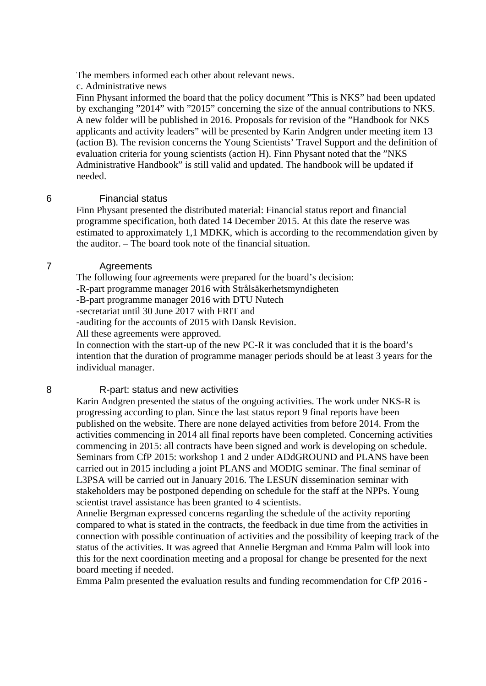The members informed each other about relevant news.

c. Administrative news

Finn Physant informed the board that the policy document "This is NKS" had been updated by exchanging "2014" with "2015" concerning the size of the annual contributions to NKS. A new folder will be published in 2016. Proposals for revision of the "Handbook for NKS applicants and activity leaders" will be presented by Karin Andgren under meeting item 13 (action B). The revision concerns the Young Scientists' Travel Support and the definition of evaluation criteria for young scientists (action H). Finn Physant noted that the "NKS Administrative Handbook" is still valid and updated. The handbook will be updated if needed.

#### 6 Financial status

Finn Physant presented the distributed material: Financial status report and financial programme specification, both dated 14 December 2015. At this date the reserve was estimated to approximately 1,1 MDKK, which is according to the recommendation given by the auditor. – The board took note of the financial situation.

#### 7 Agreements

The following four agreements were prepared for the board's decision:

-R-part programme manager 2016 with Strålsäkerhetsmyndigheten

-B-part programme manager 2016 with DTU Nutech

-secretariat until 30 June 2017 with FRIT and

-auditing for the accounts of 2015 with Dansk Revision.

All these agreements were approved.

In connection with the start-up of the new PC-R it was concluded that it is the board's intention that the duration of programme manager periods should be at least 3 years for the individual manager.

#### 8 R-part: status and new activities

Karin Andgren presented the status of the ongoing activities. The work under NKS-R is progressing according to plan. Since the last status report 9 final reports have been published on the website. There are none delayed activities from before 2014. From the activities commencing in 2014 all final reports have been completed. Concerning activities commencing in 2015: all contracts have been signed and work is developing on schedule. Seminars from CfP 2015: workshop 1 and 2 under ADdGROUND and PLANS have been carried out in 2015 including a joint PLANS and MODIG seminar. The final seminar of L3PSA will be carried out in January 2016. The LESUN dissemination seminar with stakeholders may be postponed depending on schedule for the staff at the NPPs. Young scientist travel assistance has been granted to 4 scientists.

Annelie Bergman expressed concerns regarding the schedule of the activity reporting compared to what is stated in the contracts, the feedback in due time from the activities in connection with possible continuation of activities and the possibility of keeping track of the status of the activities. It was agreed that Annelie Bergman and Emma Palm will look into this for the next coordination meeting and a proposal for change be presented for the next board meeting if needed.

Emma Palm presented the evaluation results and funding recommendation for CfP 2016 -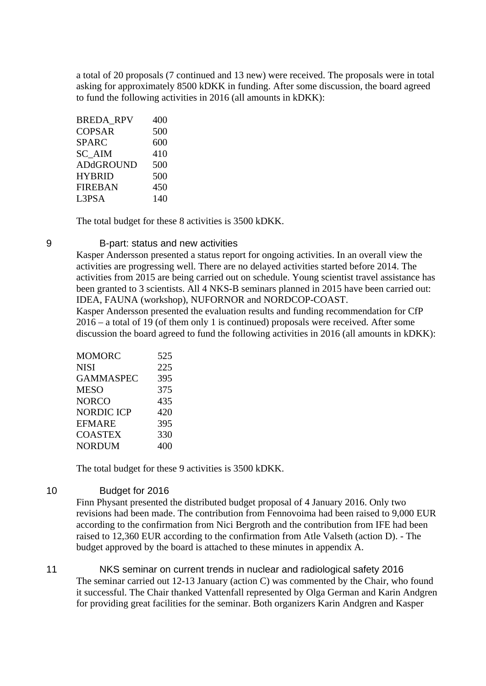a total of 20 proposals (7 continued and 13 new) were received. The proposals were in total asking for approximately 8500 kDKK in funding. After some discussion, the board agreed to fund the following activities in 2016 (all amounts in kDKK):

| <b>BREDA RPV</b> | 400 |
|------------------|-----|
| <b>COPSAR</b>    | 500 |
| <b>SPARC</b>     | 600 |
| SC AIM           | 410 |
| <b>ADdGROUND</b> | 500 |
| <b>HYBRID</b>    | 500 |
| <b>FIREBAN</b>   | 450 |
| L3PSA            | 140 |
|                  |     |

The total budget for these 8 activities is 3500 kDKK.

#### 9 B-part: status and new activities

Kasper Andersson presented a status report for ongoing activities. In an overall view the activities are progressing well. There are no delayed activities started before 2014. The activities from 2015 are being carried out on schedule. Young scientist travel assistance has been granted to 3 scientists. All 4 NKS-B seminars planned in 2015 have been carried out: IDEA, FAUNA (workshop), NUFORNOR and NORDCOP-COAST.

Kasper Andersson presented the evaluation results and funding recommendation for CfP 2016 – a total of 19 (of them only 1 is continued) proposals were received. After some discussion the board agreed to fund the following activities in 2016 (all amounts in kDKK):

| <b>MOMORC</b>    | 525 |
|------------------|-----|
| <b>NISI</b>      | 225 |
| <b>GAMMASPEC</b> | 395 |
| MESO             | 375 |
| NORCO            | 435 |
| NORDIC ICP       | 420 |
| EFMARE           | 395 |
| <b>COASTEX</b>   | 330 |
| <b>NORDUM</b>    | 400 |

The total budget for these 9 activities is 3500 kDKK.

#### 10 Budget for 2016

Finn Physant presented the distributed budget proposal of 4 January 2016. Only two revisions had been made. The contribution from Fennovoima had been raised to 9,000 EUR according to the confirmation from Nici Bergroth and the contribution from IFE had been raised to 12,360 EUR according to the confirmation from Atle Valseth (action D). - The budget approved by the board is attached to these minutes in appendix A.

11 NKS seminar on current trends in nuclear and radiological safety 2016 The seminar carried out 12-13 January (action C) was commented by the Chair, who found it successful. The Chair thanked Vattenfall represented by Olga German and Karin Andgren for providing great facilities for the seminar. Both organizers Karin Andgren and Kasper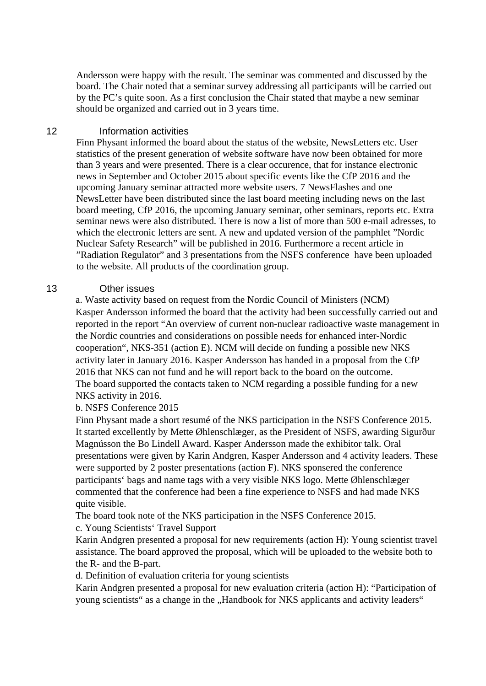Andersson were happy with the result. The seminar was commented and discussed by the board. The Chair noted that a seminar survey addressing all participants will be carried out by the PC's quite soon. As a first conclusion the Chair stated that maybe a new seminar should be organized and carried out in 3 years time.

#### 12 Information activities

Finn Physant informed the board about the status of the website, NewsLetters etc. User statistics of the present generation of website software have now been obtained for more than 3 years and were presented. There is a clear occurence, that for instance electronic news in September and October 2015 about specific events like the CfP 2016 and the upcoming January seminar attracted more website users. 7 NewsFlashes and one NewsLetter have been distributed since the last board meeting including news on the last board meeting, CfP 2016, the upcoming January seminar, other seminars, reports etc. Extra seminar news were also distributed. There is now a list of more than 500 e-mail adresses, to which the electronic letters are sent. A new and updated version of the pamphlet "Nordic Nuclear Safety Research" will be published in 2016. Furthermore a recent article in "Radiation Regulator" and 3 presentations from the NSFS conference have been uploaded to the website. All products of the coordination group.

#### 13 Other issues

a. Waste activity based on request from the Nordic Council of Ministers (NCM) Kasper Andersson informed the board that the activity had been successfully carried out and reported in the report "An overview of current non-nuclear radioactive waste management in the Nordic countries and considerations on possible needs for enhanced inter-Nordic cooperation", NKS-351 (action E). NCM will decide on funding a possible new NKS activity later in January 2016. Kasper Andersson has handed in a proposal from the CfP 2016 that NKS can not fund and he will report back to the board on the outcome. The board supported the contacts taken to NCM regarding a possible funding for a new NKS activity in 2016.

#### b. NSFS Conference 2015

Finn Physant made a short resumé of the NKS participation in the NSFS Conference 2015. It started excellently by Mette Øhlenschlæger, as the President of NSFS, awarding Sigurður Magnússon the Bo Lindell Award. Kasper Andersson made the exhibitor talk. Oral presentations were given by Karin Andgren, Kasper Andersson and 4 activity leaders. These were supported by 2 poster presentations (action F). NKS sponsered the conference participants' bags and name tags with a very visible NKS logo. Mette Øhlenschlæger commented that the conference had been a fine experience to NSFS and had made NKS quite visible.

The board took note of the NKS participation in the NSFS Conference 2015.

### c. Young Scientists' Travel Support

Karin Andgren presented a proposal for new requirements (action H): Young scientist travel assistance. The board approved the proposal, which will be uploaded to the website both to the R- and the B-part.

d. Definition of evaluation criteria for young scientists

Karin Andgren presented a proposal for new evaluation criteria (action H): "Participation of young scientists" as a change in the "Handbook for NKS applicants and activity leaders"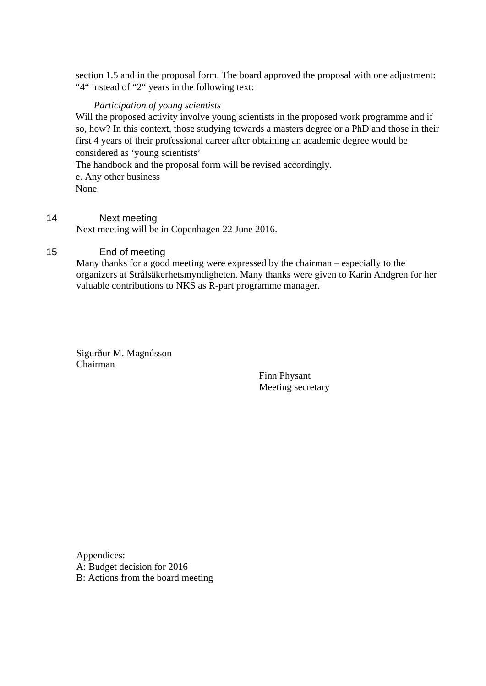section 1.5 and in the proposal form. The board approved the proposal with one adjustment: "4" instead of "2" years in the following text:

#### *Participation of young scientists*

Will the proposed activity involve young scientists in the proposed work programme and if so, how? In this context, those studying towards a masters degree or a PhD and those in their first 4 years of their professional career after obtaining an academic degree would be considered as 'young scientists'

The handbook and the proposal form will be revised accordingly.

e. Any other business None.

### 14 Next meeting

Next meeting will be in Copenhagen 22 June 2016.

### 15 End of meeting

Many thanks for a good meeting were expressed by the chairman – especially to the organizers at Strålsäkerhetsmyndigheten. Many thanks were given to Karin Andgren for her valuable contributions to NKS as R-part programme manager.

Sigurður M. Magnússon Chairman

> Finn Physant Meeting secretary

Appendices: A: Budget decision for 2016 B: Actions from the board meeting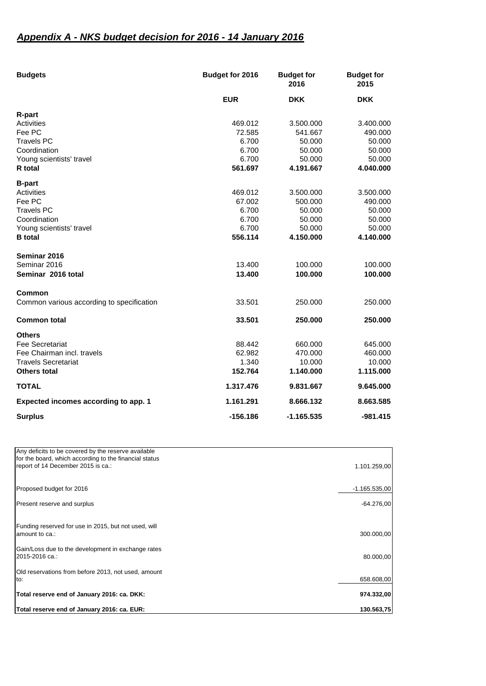## *Appendix A - NKS budget decision for 2016 - 14 January 2016*

| <b>Budgets</b>                            | Budget for 2016 | <b>Budget for</b><br>2016 | <b>Budget for</b><br>2015 |
|-------------------------------------------|-----------------|---------------------------|---------------------------|
|                                           | <b>EUR</b>      | <b>DKK</b>                | <b>DKK</b>                |
| R-part                                    |                 |                           |                           |
| Activities                                | 469.012         | 3.500.000                 | 3.400.000                 |
| Fee PC                                    | 72.585          | 541.667                   | 490.000                   |
| <b>Travels PC</b>                         | 6.700           | 50.000                    | 50.000                    |
| Coordination                              | 6.700           | 50.000                    | 50.000                    |
| Young scientists' travel                  | 6.700           | 50,000                    | 50.000                    |
| R total                                   | 561.697         | 4.191.667                 | 4.040.000                 |
| <b>B-part</b>                             |                 |                           |                           |
| Activities                                | 469.012         | 3.500.000                 | 3.500.000                 |
| Fee PC                                    | 67.002          | 500.000                   | 490.000                   |
| <b>Travels PC</b>                         | 6.700           | 50.000                    | 50.000                    |
| Coordination                              | 6.700           | 50.000                    | 50.000                    |
| Young scientists' travel                  | 6.700           | 50.000                    | 50,000                    |
| <b>B</b> total                            | 556.114         | 4.150.000                 | 4.140.000                 |
| Seminar 2016                              |                 |                           |                           |
| Seminar 2016                              | 13.400          | 100.000                   | 100.000                   |
| Seminar 2016 total                        | 13.400          | 100.000                   | 100.000                   |
| Common                                    |                 |                           |                           |
| Common various according to specification | 33.501          | 250,000                   | 250,000                   |
| <b>Common total</b>                       | 33.501          | 250,000                   | 250,000                   |
| <b>Others</b>                             |                 |                           |                           |
| <b>Fee Secretariat</b>                    | 88.442          | 660,000                   | 645.000                   |
| Fee Chairman incl. travels                | 62.982          | 470.000                   | 460.000                   |
| <b>Travels Secretariat</b>                | 1.340           | 10.000                    | 10.000                    |
| <b>Others total</b>                       | 152.764         | 1.140.000                 | 1.115.000                 |
| <b>TOTAL</b>                              | 1.317.476       | 9.831.667                 | 9.645.000                 |
| Expected incomes according to app. 1      | 1.161.291       | 8.666.132                 | 8.663.585                 |
| <b>Surplus</b>                            | -156.186        | $-1.165.535$              | $-981.415$                |

| Total reserve end of January 2016: ca. EUR:                                                                                                         | 130.563.75      |
|-----------------------------------------------------------------------------------------------------------------------------------------------------|-----------------|
| Total reserve end of January 2016: ca. DKK:                                                                                                         | 974.332,00      |
| Old reservations from before 2013, not used, amount<br>to:                                                                                          | 658.608,00      |
| Gain/Loss due to the development in exchange rates<br>2015-2016 ca.:                                                                                | 80.000,00       |
| Funding reserved for use in 2015, but not used, will<br>amount to ca.:                                                                              | 300.000,00      |
| Present reserve and surplus                                                                                                                         | $-64.276,00$    |
| Proposed budget for 2016                                                                                                                            | $-1.165.535.00$ |
| Any deficits to be covered by the reserve available<br>for the board, which according to the financial status<br>report of 14 December 2015 is ca.: | 1.101.259,00    |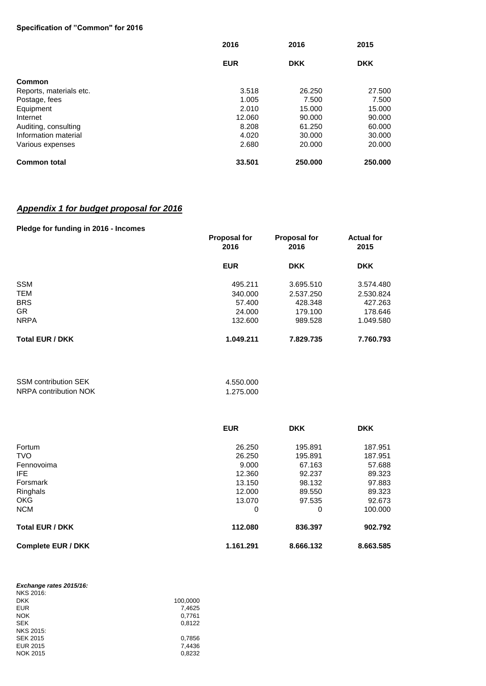#### **Specification of "Common" for 2016**

|                         | 2016       | 2016<br><b>DKK</b> | 2015<br><b>DKK</b> |
|-------------------------|------------|--------------------|--------------------|
|                         | <b>EUR</b> |                    |                    |
| <b>Common</b>           |            |                    |                    |
| Reports, materials etc. | 3.518      | 26.250             | 27.500             |
| Postage, fees           | 1.005      | 7.500              | 7.500              |
| Equipment               | 2.010      | 15.000             | 15.000             |
| Internet                | 12.060     | 90,000             | 90.000             |
| Auditing, consulting    | 8.208      | 61.250             | 60.000             |
| Information material    | 4.020      | 30,000             | 30,000             |
| Various expenses        | 2.680      | 20,000             | 20,000             |
| <b>Common total</b>     | 33.501     | 250.000            | 250,000            |

#### *Appendix 1 for budget proposal for 2016*

#### **Pledge for funding in 2016 - Incomes**

| $1.1899$ $1.01.1011$ $1.011$ $1.0011$ $1.0011$ $1.0001$ | <b>Proposal for</b><br>2016 | <b>Proposal for</b><br>2016 | <b>Actual for</b><br>2015 |
|---------------------------------------------------------|-----------------------------|-----------------------------|---------------------------|
|                                                         | <b>EUR</b>                  | <b>DKK</b>                  | <b>DKK</b>                |
| <b>SSM</b>                                              | 495.211                     | 3.695.510                   | 3.574.480                 |
| <b>TEM</b>                                              | 340.000                     | 2.537.250                   | 2.530.824                 |
| <b>BRS</b>                                              | 57.400                      | 428.348                     | 427.263                   |
| <b>GR</b>                                               | 24.000                      | 179.100                     | 178.646                   |
| <b>NRPA</b>                                             | 132,600                     | 989.528                     | 1.049.580                 |
| <b>Total EUR / DKK</b>                                  | 1.049.211                   | 7.829.735                   | 7.760.793                 |

| <b>SSM contribution SEK</b> | 4.550.000 |
|-----------------------------|-----------|
| NRPA contribution NOK       | 1.275.000 |

|                           | <b>EUR</b> | <b>DKK</b> | <b>DKK</b> |
|---------------------------|------------|------------|------------|
| Fortum                    | 26.250     | 195.891    | 187.951    |
| <b>TVO</b>                | 26.250     | 195.891    | 187.951    |
| Fennovoima                | 9.000      | 67.163     | 57.688     |
| IFE.                      | 12.360     | 92.237     | 89.323     |
| Forsmark                  | 13.150     | 98.132     | 97.883     |
| Ringhals                  | 12.000     | 89.550     | 89.323     |
| <b>OKG</b>                | 13.070     | 97.535     | 92.673     |
| <b>NCM</b>                | 0          | 0          | 100.000    |
| <b>Total EUR / DKK</b>    | 112.080    | 836.397    | 902.792    |
| <b>Complete EUR / DKK</b> | 1.161.291  | 8.666.132  | 8.663.585  |

| 100,0000 |
|----------|
| 7,4625   |
| 0,7761   |
| 0.8122   |
|          |
| 0.7856   |
| 7,4436   |
| 0.8232   |
|          |